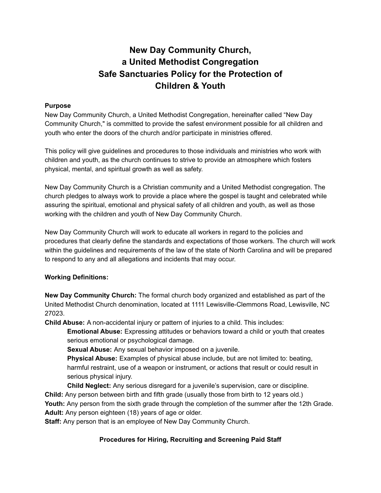# **New Day Community Church, a United Methodist Congregation Safe Sanctuaries Policy for the Protection of Children & Youth**

#### **Purpose**

New Day Community Church, a United Methodist Congregation, hereinafter called "New Day Community Church," is committed to provide the safest environment possible for all children and youth who enter the doors of the church and/or participate in ministries offered.

This policy will give guidelines and procedures to those individuals and ministries who work with children and youth, as the church continues to strive to provide an atmosphere which fosters physical, mental, and spiritual growth as well as safety.

New Day Community Church is a Christian community and a United Methodist congregation. The church pledges to always work to provide a place where the gospel is taught and celebrated while assuring the spiritual, emotional and physical safety of all children and youth, as well as those working with the children and youth of New Day Community Church.

New Day Community Church will work to educate all workers in regard to the policies and procedures that clearly define the standards and expectations of those workers. The church will work within the guidelines and requirements of the law of the state of North Carolina and will be prepared to respond to any and all allegations and incidents that may occur.

#### **Working Definitions:**

**New Day Community Church:** The formal church body organized and established as part of the United Methodist Church denomination, located at 1111 Lewisville-Clemmons Road, Lewisville, NC 27023.

**Child Abuse:** A non-accidental injury or pattern of injuries to a child. This includes:

**Emotional Abuse:** Expressing attitudes or behaviors toward a child or youth that creates serious emotional or psychological damage.

**Sexual Abuse:** Any sexual behavior imposed on a juvenile.

**Physical Abuse:** Examples of physical abuse include, but are not limited to: beating, harmful restraint, use of a weapon or instrument, or actions that result or could result in serious physical injury.

**Child Neglect:** Any serious disregard for a juvenile's supervision, care or discipline. **Child:** Any person between birth and fifth grade (usually those from birth to 12 years old.) **Youth:** Any person from the sixth grade through the completion of the summer after the 12th Grade. **Adult:** Any person eighteen (18) years of age or older.

**Staff:** Any person that is an employee of New Day Community Church.

#### **Procedures for Hiring, Recruiting and Screening Paid Staff**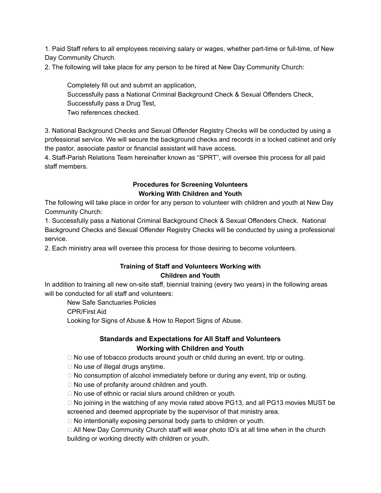1. Paid Staff refers to all employees receiving salary or wages, whether part-time or full-time, of New Day Community Church.

2. The following will take place for any person to be hired at New Day Community Church:

Completely fill out and submit an application, Successfully pass a National Criminal Background Check & Sexual Offenders Check, Successfully pass a Drug Test, Two references checked.

3. National Background Checks and Sexual Offender Registry Checks will be conducted by using a professional service. We will secure the background checks and records in a locked cabinet and only the pastor, associate pastor or financial assistant will have access.

4. Staff-Parish Relations Team hereinafter known as "SPRT", will oversee this process for all paid staff members.

#### **Procedures for Screening Volunteers Working With Children and Youth**

The following will take place in order for any person to volunteer with children and youth at New Day Community Church:

1. Successfully pass a National Criminal Background Check & Sexual Offenders Check. National Background Checks and Sexual Offender Registry Checks will be conducted by using a professional service.

2. Each ministry area will oversee this process for those desiring to become volunteers.

#### **Training of Staff and Volunteers Working with Children and Youth**

In addition to training all new on-site staff, biennial training (every two years) in the following areas will be conducted for all staff and volunteers:

New Safe Sanctuaries Policies CPR/First Aid Looking for Signs of Abuse & How to Report Signs of Abuse.

#### **Standards and Expectations for All Staff and Volunteers Working with Children and Youth**

 $\Box$  No use of tobacco products around youth or child during an event, trip or outing.

 $\Box$  No use of illegal drugs anytime.

 $\Box$  No consumption of alcohol immediately before or during any event, trip or outing.

 $\Box$  No use of profanity around children and youth.

□ No use of ethnic or racial slurs around children or youth.

 $\Box$  No joining in the watching of any movie rated above PG13, and all PG13 movies MUST be screened and deemed appropriate by the supervisor of that ministry area.

 $\Box$  No intentionally exposing personal body parts to children or youth.

 $\Box$  All New Day Community Church staff will wear photo ID's at all time when in the church building or working directly with children or youth.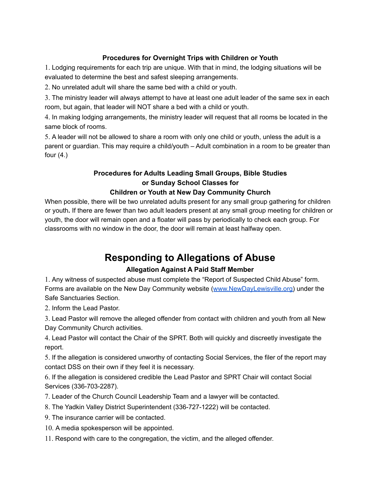## **Procedures for Overnight Trips with Children or Youth**

1. Lodging requirements for each trip are unique. With that in mind, the lodging situations will be evaluated to determine the best and safest sleeping arrangements.

2. No unrelated adult will share the same bed with a child or youth.

3. The ministry leader will always attempt to have at least one adult leader of the same sex in each room, but again, that leader will NOT share a bed with a child or youth.

4. In making lodging arrangements, the ministry leader will request that all rooms be located in the same block of rooms.

5. A leader will not be allowed to share a room with only one child or youth, unless the adult is a parent or guardian. This may require a child/youth – Adult combination in a room to be greater than four  $(4.)$ 

# **Procedures for Adults Leading Small Groups, Bible Studies or Sunday School Classes for**

### **Children or Youth at New Day Community Church**

When possible, there will be two unrelated adults present for any small group gathering for children or youth**.** If there are fewer than two adult leaders present at any small group meeting for children or youth, the door will remain open and a floater will pass by periodically to check each group. For classrooms with no window in the door, the door will remain at least halfway open.

# **Responding to Allegations of Abuse**

## **Allegation Against A Paid Staff Member**

1. Any witness of suspected abuse must complete the "Report of Suspected Child Abuse" form. Forms are available on the New Day Community website ([www.NewDayLewisville.org\)](http://www.newdaylewisville.org) under the Safe Sanctuaries Section.

2. Inform the Lead Pastor.

3. Lead Pastor will remove the alleged offender from contact with children and youth from all New Day Community Church activities.

4. Lead Pastor will contact the Chair of the SPRT. Both will quickly and discreetly investigate the report.

5. If the allegation is considered unworthy of contacting Social Services, the filer of the report may contact DSS on their own if they feel it is necessary.

6. If the allegation is considered credible the Lead Pastor and SPRT Chair will contact Social Services (336-703-2287).

7. Leader of the Church Council Leadership Team and a lawyer will be contacted.

- 8. The Yadkin Valley District Superintendent (336-727-1222) will be contacted.
- 9. The insurance carrier will be contacted.
- 10. A media spokesperson will be appointed.
- 11. Respond with care to the congregation, the victim, and the alleged offender.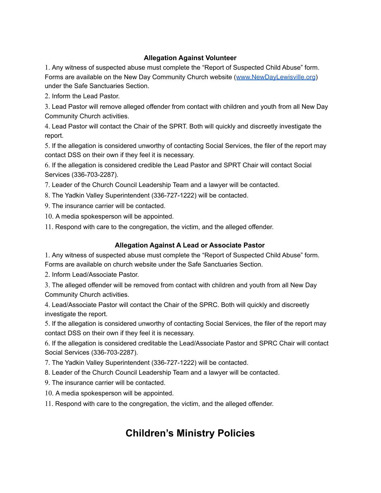### **Allegation Against Volunteer**

1. Any witness of suspected abuse must complete the "Report of Suspected Child Abuse" form. Forms are available on the New Day Community Church website ([www.NewDayLewisville.org](http://www.newdaylewisville.org)) under the Safe Sanctuaries Section.

2. Inform the Lead Pastor.

3. Lead Pastor will remove alleged offender from contact with children and youth from all New Day Community Church activities.

4. Lead Pastor will contact the Chair of the SPRT. Both will quickly and discreetly investigate the report.

5. If the allegation is considered unworthy of contacting Social Services, the filer of the report may contact DSS on their own if they feel it is necessary.

6. If the allegation is considered credible the Lead Pastor and SPRT Chair will contact Social Services (336-703-2287).

7. Leader of the Church Council Leadership Team and a lawyer will be contacted.

8. The Yadkin Valley Superintendent (336-727-1222) will be contacted.

9. The insurance carrier will be contacted.

10. A media spokesperson will be appointed.

11. Respond with care to the congregation, the victim, and the alleged offender.

#### **Allegation Against A Lead or Associate Pastor**

1. Any witness of suspected abuse must complete the "Report of Suspected Child Abuse" form. Forms are available on church website under the Safe Sanctuaries Section.

2. Inform Lead/Associate Pastor.

3. The alleged offender will be removed from contact with children and youth from all New Day Community Church activities.

4. Lead/Associate Pastor will contact the Chair of the SPRC. Both will quickly and discreetly investigate the report.

5. If the allegation is considered unworthy of contacting Social Services, the filer of the report may contact DSS on their own if they feel it is necessary.

6. If the allegation is considered creditable the Lead/Associate Pastor and SPRC Chair will contact Social Services (336-703-2287).

7. The Yadkin Valley Superintendent (336-727-1222) will be contacted.

8. Leader of the Church Council Leadership Team and a lawyer will be contacted.

9. The insurance carrier will be contacted.

10. A media spokesperson will be appointed.

11. Respond with care to the congregation, the victim, and the alleged offender.

# **Children's Ministry Policies**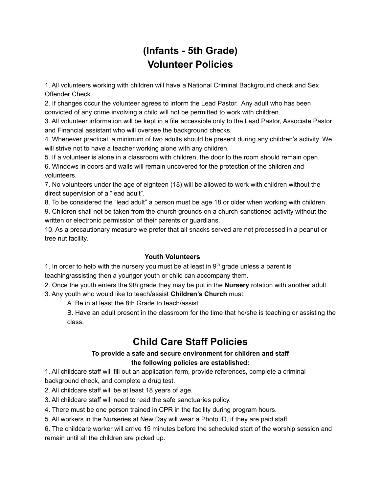# **(Infants - 5th Grade) Volunteer Policies**

1. All volunteers working with children will have a National Criminal Background check and Sex Offender Check.

2. If changes occur the volunteer agrees to inform the Lead Pastor. Any adult who has been convicted of any crime involving a child will not be permitted to work with children.

3. All volunteer information will be kept in a file accessible only to the Lead Pastor, Associate Pastor and Financial assistant who will oversee the background checks.

4. Whenever practical, a minimum of two adults should be present during any children's activity. We will strive not to have a teacher working alone with any children.

5. If a volunteer is alone in a classroom with children, the door to the room should remain open.

6. Windows in doors and walls will remain uncovered for the protection of the children and volunteers.

7. No volunteers under the age of eighteen (18) will be allowed to work with children without the direct supervision of a "lead adult".

8. To be considered the "lead adult" a person must be age 18 or older when working with children. 9. Children shall not be taken from the church grounds on a church-sanctioned activity without the written or electronic permission of their parents or guardians.

10. As a precautionary measure we prefer that all snacks served are not processed in a peanut or tree nut facility.

### **Youth Volunteers**

1. In order to help with the nursery you must be at least in  $9<sup>th</sup>$  grade unless a parent is teaching/assisting then a younger youth or child can accompany them.

2. Once the youth enters the 9th grade they may be put in the **Nursery** rotation with another adult.

3. Any youth who would like to teach/assist **Children's Church** must:

A. Be in at least the 8th Grade to teach/assist

B. Have an adult present in the classroom for the time that he/she is teaching or assisting the class.

# **Child Care Staff Policies**

#### **To provide a safe and secure environment for children and staff the following policies are established:**

1. All childcare staff will fill out an application form, provide references, complete a criminal background check, and complete a drug test.

2. All childcare staff will be at least 18 years of age.

3. All childcare staff will need to read the safe sanctuaries policy.

4. There must be one person trained in CPR in the facility during program hours.

5. All workers in the Nurseries at New Day will wear a Photo ID, if they are paid staff.

6. The childcare worker will arrive 15 minutes before the scheduled start of the worship session and remain until all the children are picked up.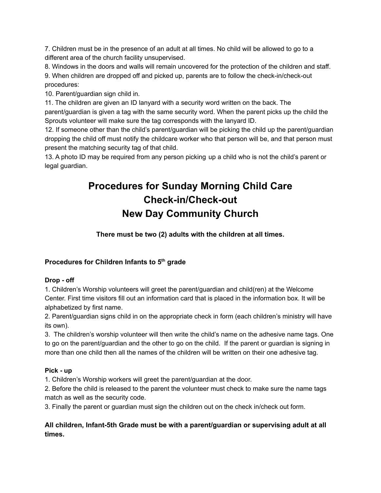7. Children must be in the presence of an adult at all times. No child will be allowed to go to a different area of the church facility unsupervised.

8. Windows in the doors and walls will remain uncovered for the protection of the children and staff.

9. When children are dropped off and picked up, parents are to follow the check-in/check-out procedures:

10. Parent/guardian sign child in.

11. The children are given an ID lanyard with a security word written on the back. The parent/guardian is given a tag with the same security word. When the parent picks up the child the Sprouts volunteer will make sure the tag corresponds with the lanyard ID.

12. If someone other than the child's parent/guardian will be picking the child up the parent/guardian dropping the child off must notify the childcare worker who that person will be, and that person must present the matching security tag of that child.

13. A photo ID may be required from any person picking up a child who is not the child's parent or legal guardian.

# **Procedures for Sunday Morning Child Care Check-in/Check-out New Day Community Church**

**There must be two (2) adults with the children at all times.**

### **Procedures for Children Infants to 5 th grade**

#### **Drop - off**

1. Children's Worship volunteers will greet the parent/guardian and child(ren) at the Welcome Center. First time visitors fill out an information card that is placed in the information box. It will be alphabetized by first name.

2. Parent/guardian signs child in on the appropriate check in form (each children's ministry will have its own).

3. The children's worship volunteer will then write the child's name on the adhesive name tags. One to go on the parent/guardian and the other to go on the child. If the parent or guardian is signing in more than one child then all the names of the children will be written on their one adhesive tag.

### **Pick - up**

1. Children's Worship workers will greet the parent/guardian at the door.

2. Before the child is released to the parent the volunteer must check to make sure the name tags match as well as the security code.

3. Finally the parent or guardian must sign the children out on the check in/check out form.

### **All children, Infant-5th Grade must be with a parent/guardian or supervising adult at all times.**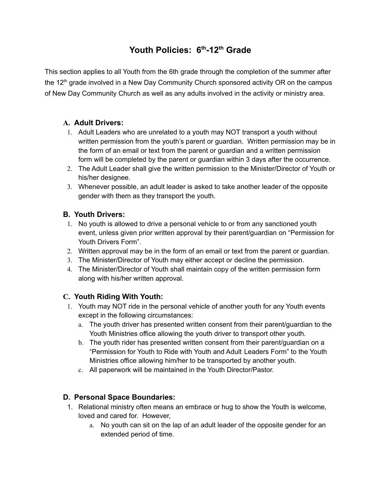# **Youth Policies: 6 th -12 th Grade**

This section applies to all Youth from the 6th grade through the completion of the summer after the 12<sup>th</sup> grade involved in a New Day Community Church sponsored activity OR on the campus of New Day Community Church as well as any adults involved in the activity or ministry area.

### **A. Adult Drivers:**

- 1. Adult Leaders who are unrelated to a youth may NOT transport a youth without written permission from the youth's parent or guardian. Written permission may be in the form of an email or text from the parent or guardian and a written permission form will be completed by the parent or guardian within 3 days after the occurrence.
- 2. The Adult Leader shall give the written permission to the Minister/Director of Youth or his/her designee.
- 3. Whenever possible, an adult leader is asked to take another leader of the opposite gender with them as they transport the youth.

### **B. Youth Drivers:**

- 1. No youth is allowed to drive a personal vehicle to or from any sanctioned youth event, unless given prior written approval by their parent/guardian on "Permission for Youth Drivers Form".
- 2. Written approval may be in the form of an email or text from the parent or guardian.
- 3. The Minister/Director of Youth may either accept or decline the permission.
- 4. The Minister/Director of Youth shall maintain copy of the written permission form along with his/her written approval.

### **C. Youth Riding With Youth:**

- 1. Youth may NOT ride in the personal vehicle of another youth for any Youth events except in the following circumstances:
	- a. The youth driver has presented written consent from their parent/guardian to the Youth Ministries office allowing the youth driver to transport other youth.
	- b. The youth rider has presented written consent from their parent/guardian on a "Permission for Youth to Ride with Youth and Adult Leaders Form" to the Youth Ministries office allowing him/her to be transported by another youth.
	- c. All paperwork will be maintained in the Youth Director/Pastor.

### **D. Personal Space Boundaries:**

- 1. Relational ministry often means an embrace or hug to show the Youth is welcome, loved and cared for. However,
	- a. No youth can sit on the lap of an adult leader of the opposite gender for an extended period of time.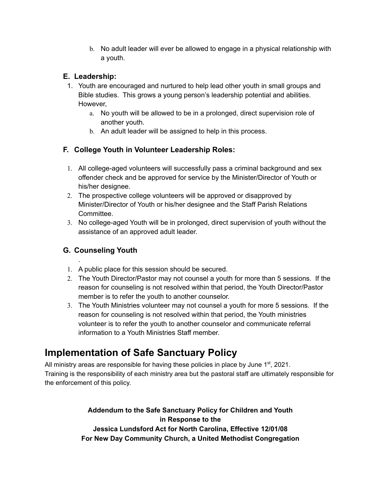b. No adult leader will ever be allowed to engage in a physical relationship with a youth.

# **E. Leadership:**

- 1. Youth are encouraged and nurtured to help lead other youth in small groups and Bible studies. This grows a young person's leadership potential and abilities. However,
	- a. No youth will be allowed to be in a prolonged, direct supervision role of another youth.
	- b. An adult leader will be assigned to help in this process.

## **F. College Youth in Volunteer Leadership Roles:**

- 1. All college-aged volunteers will successfully pass a criminal background and sex offender check and be approved for service by the Minister/Director of Youth or his/her designee.
- 2. The prospective college volunteers will be approved or disapproved by Minister/Director of Youth or his/her designee and the Staff Parish Relations Committee.
- 3. No college-aged Youth will be in prolonged, direct supervision of youth without the assistance of an approved adult leader.

# **G. Counseling Youth**

.

- 1. A public place for this session should be secured.
- 2. The Youth Director/Pastor may not counsel a youth for more than 5 sessions. If the reason for counseling is not resolved within that period, the Youth Director/Pastor member is to refer the youth to another counselor.
- 3. The Youth Ministries volunteer may not counsel a youth for more 5 sessions. If the reason for counseling is not resolved within that period, the Youth ministries volunteer is to refer the youth to another counselor and communicate referral information to a Youth Ministries Staff member.

# **Implementation of Safe Sanctuary Policy**

All ministry areas are responsible for having these policies in place by June  $1<sup>st</sup>$ , 2021. Training is the responsibility of each ministry area but the pastoral staff are ultimately responsible for the enforcement of this policy.

> **Addendum to the Safe Sanctuary Policy for Children and Youth in Response to the Jessica Lundsford Act for North Carolina, Effective 12/01/08 For New Day Community Church, a United Methodist Congregation**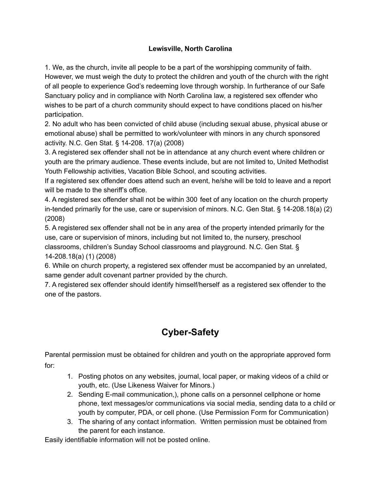### **Lewisville, North Carolina**

1. We, as the church, invite all people to be a part of the worshipping community of faith. However, we must weigh the duty to protect the children and youth of the church with the right of all people to experience God's redeeming love through worship. In furtherance of our Safe Sanctuary policy and in compliance with North Carolina law, a registered sex offender who wishes to be part of a church community should expect to have conditions placed on his/her participation.

2. No adult who has been convicted of child abuse (including sexual abuse, physical abuse or emotional abuse) shall be permitted to work/volunteer with minors in any church sponsored activity. N.C. Gen Stat. § 14-208. 17(a) (2008)

3. A registered sex offender shall not be in attendance at any church event where children or youth are the primary audience. These events include, but are not limited to, United Methodist Youth Fellowship activities, Vacation Bible School, and scouting activities.

If a registered sex offender does attend such an event, he/she will be told to leave and a report will be made to the sheriff's office.

4. A registered sex offender shall not be within 300 feet of any location on the church property in-tended primarily for the use, care or supervision of minors. N.C. Gen Stat. § 14-208.18(a) (2) (2008)

5. A registered sex offender shall not be in any area of the property intended primarily for the use, care or supervision of minors, including but not limited to, the nursery, preschool classrooms, children's Sunday School classrooms and playground. N.C. Gen Stat. § 14-208.18(a) (1) (2008)

6. While on church property, a registered sex offender must be accompanied by an unrelated, same gender adult covenant partner provided by the church.

7. A registered sex offender should identify himself/herself as a registered sex offender to the one of the pastors.

# **Cyber-Safety**

Parental permission must be obtained for children and youth on the appropriate approved form for:

- 1. Posting photos on any websites, journal, local paper, or making videos of a child or youth, etc. (Use Likeness Waiver for Minors.)
- 2. Sending E-mail communication,), phone calls on a personnel cellphone or home phone, text messages/or communications via social media, sending data to a child or youth by computer, PDA, or cell phone. (Use Permission Form for Communication)
- 3. The sharing of any contact information. Written permission must be obtained from the parent for each instance.

Easily identifiable information will not be posted online.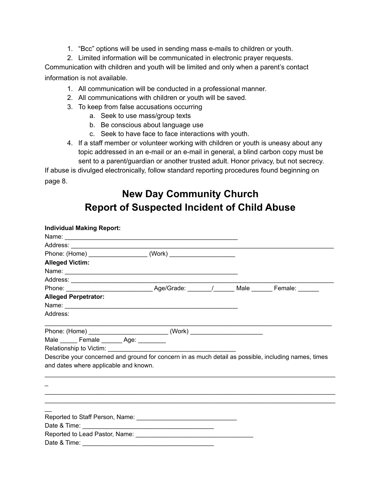- 1. "Bcc" options will be used in sending mass e-mails to children or youth.
- 2. Limited information will be communicated in electronic prayer requests.

Communication with children and youth will be limited and only when a parent's contact information is not available.

- 1. All communication will be conducted in a professional manner.
- 2. All communications with children or youth will be saved.
- 3. To keep from false accusations occurring
	- a. Seek to use mass/group texts
	- b. Be conscious about language use
	- c. Seek to have face to face interactions with youth.
- 4. If a staff member or volunteer working with children or youth is uneasy about any topic addressed in an e-mail or an e-mail in general, a blind carbon copy must be sent to a parent/guardian or another trusted adult. Honor privacy, but not secrecy.

If abuse is divulged electronically, follow standard reporting procedures found beginning on page 8.

# **New Day Community Church Report of Suspected Incident of Child Abuse**

| <b>Individual Making Report:</b>                                                                     |  |  |
|------------------------------------------------------------------------------------------------------|--|--|
|                                                                                                      |  |  |
|                                                                                                      |  |  |
|                                                                                                      |  |  |
| <b>Alleged Victim:</b>                                                                               |  |  |
|                                                                                                      |  |  |
|                                                                                                      |  |  |
| Phone: _________________________________Age/Grade: ________/________Male ________ Female: _______    |  |  |
| <b>Alleged Perpetrator:</b>                                                                          |  |  |
|                                                                                                      |  |  |
| Address:                                                                                             |  |  |
|                                                                                                      |  |  |
| Male _______ Female _______ Age: _________                                                           |  |  |
|                                                                                                      |  |  |
| Describe your concerned and ground for concern in as much detail as possible, including names, times |  |  |
| and dates where applicable and known.                                                                |  |  |
|                                                                                                      |  |  |
|                                                                                                      |  |  |
| ,我们也不能在这里的,我们也不能在这里的人,我们也不能在这里的人,我们也不能不能在这里的人,我们也不能不能不能不能。""我们,我们也不能不能不能不能不能不能不能                     |  |  |
|                                                                                                      |  |  |
|                                                                                                      |  |  |
|                                                                                                      |  |  |
|                                                                                                      |  |  |
|                                                                                                      |  |  |
|                                                                                                      |  |  |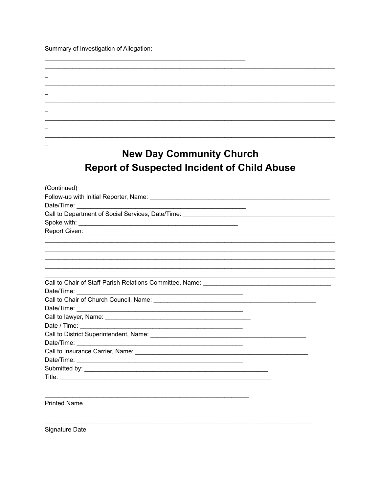Summary of Investigation of Allegation:

| <b>New Day Community Church</b>                                                                                                                                                                                                     |  |
|-------------------------------------------------------------------------------------------------------------------------------------------------------------------------------------------------------------------------------------|--|
| <b>Report of Suspected Incident of Child Abuse</b>                                                                                                                                                                                  |  |
|                                                                                                                                                                                                                                     |  |
| (Continued)                                                                                                                                                                                                                         |  |
|                                                                                                                                                                                                                                     |  |
|                                                                                                                                                                                                                                     |  |
|                                                                                                                                                                                                                                     |  |
|                                                                                                                                                                                                                                     |  |
|                                                                                                                                                                                                                                     |  |
|                                                                                                                                                                                                                                     |  |
|                                                                                                                                                                                                                                     |  |
|                                                                                                                                                                                                                                     |  |
|                                                                                                                                                                                                                                     |  |
| <u> 1989 - Johann John Stone, markin sanat masjid a shekara ta 1989 a shekara ta 1989 a shekara ta 1980 a shekara</u>                                                                                                               |  |
|                                                                                                                                                                                                                                     |  |
|                                                                                                                                                                                                                                     |  |
|                                                                                                                                                                                                                                     |  |
|                                                                                                                                                                                                                                     |  |
|                                                                                                                                                                                                                                     |  |
|                                                                                                                                                                                                                                     |  |
|                                                                                                                                                                                                                                     |  |
|                                                                                                                                                                                                                                     |  |
| Date/Time: 2000                                                                                                                                                                                                                     |  |
| Call to Insurance Carrier, Name: 2008 2010 2020 2021 2022 2023 2024 2022 2023 2024 2022 2023 2024 2022 2023 20                                                                                                                      |  |
|                                                                                                                                                                                                                                     |  |
| <b>Title:</b> The contract of the contract of the contract of the contract of the contract of the contract of the contract of the contract of the contract of the contract of the contract of the contract of the contract of the c |  |

**Printed Name** 

Signature Date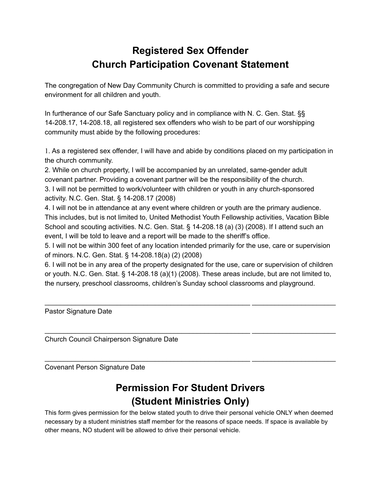# **Registered Sex Offender Church Participation Covenant Statement**

The congregation of New Day Community Church is committed to providing a safe and secure environment for all children and youth.

In furtherance of our Safe Sanctuary policy and in compliance with N. C. Gen. Stat. §§ 14-208.17, 14-208.18, all registered sex offenders who wish to be part of our worshipping community must abide by the following procedures:

1. As a registered sex offender, I will have and abide by conditions placed on my participation in the church community.

2. While on church property, I will be accompanied by an unrelated, same-gender adult covenant partner. Providing a covenant partner will be the responsibility of the church. 3. I will not be permitted to work/volunteer with children or youth in any church-sponsored activity. N.C. Gen. Stat. § 14-208.17 (2008)

4. I will not be in attendance at any event where children or youth are the primary audience. This includes, but is not limited to, United Methodist Youth Fellowship activities, Vacation Bible School and scouting activities. N.C. Gen. Stat. § 14-208.18 (a) (3) (2008). If I attend such an event, I will be told to leave and a report will be made to the sheriff's office.

5. I will not be within 300 feet of any location intended primarily for the use, care or supervision of minors. N.C. Gen. Stat. § 14-208.18(a) (2) (2008)

6. I will not be in any area of the property designated for the use, care or supervision of children or youth. N.C. Gen. Stat. § 14-208.18 (a)(1) (2008). These areas include, but are not limited to, the nursery, preschool classrooms, children's Sunday school classrooms and playground.

\_\_\_\_\_\_\_\_\_\_\_\_\_\_\_\_\_\_\_\_\_\_\_\_\_\_\_\_\_\_\_\_\_\_\_\_\_\_\_\_\_\_\_\_\_\_\_\_\_\_\_\_\_\_ \_\_\_\_\_\_\_\_\_\_\_\_\_\_\_\_\_\_\_\_\_\_

\_\_\_\_\_\_\_\_\_\_\_\_\_\_\_\_\_\_\_\_\_\_\_\_\_\_\_\_\_\_\_\_\_\_\_\_\_\_\_\_\_\_\_\_\_\_\_\_\_\_\_\_\_\_ \_\_\_\_\_\_\_\_\_\_\_\_\_\_\_\_\_\_\_\_\_\_

\_\_\_\_\_\_\_\_\_\_\_\_\_\_\_\_\_\_\_\_\_\_\_\_\_\_\_\_\_\_\_\_\_\_\_\_\_\_\_\_\_\_\_\_\_\_\_\_\_\_\_\_\_\_ \_\_\_\_\_\_\_\_\_\_\_\_\_\_\_\_\_\_\_\_\_\_

Pastor Signature Date

Church Council Chairperson Signature Date

Covenant Person Signature Date

# **Permission For Student Drivers (Student Ministries Only)**

This form gives permission for the below stated youth to drive their personal vehicle ONLY when deemed necessary by a student ministries staff member for the reasons of space needs. If space is available by other means, NO student will be allowed to drive their personal vehicle.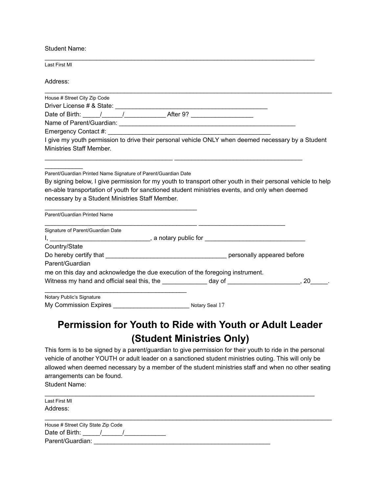Student Name:

| Last First MI                                                                                                                                                                                                                  |                                                                                                             |
|--------------------------------------------------------------------------------------------------------------------------------------------------------------------------------------------------------------------------------|-------------------------------------------------------------------------------------------------------------|
| Address:                                                                                                                                                                                                                       |                                                                                                             |
| House # Street City Zip Code                                                                                                                                                                                                   |                                                                                                             |
|                                                                                                                                                                                                                                |                                                                                                             |
|                                                                                                                                                                                                                                |                                                                                                             |
|                                                                                                                                                                                                                                |                                                                                                             |
| Emergency Contact #: University of the Contract of the Contract of the Contract of the Contract of the Contract of the Contract of the Contract of the Contract of the Contract of the Contract of the Contract of the Contrac |                                                                                                             |
| Ministries Staff Member.                                                                                                                                                                                                       | I give my youth permission to drive their personal vehicle ONLY when deemed necessary by a Student          |
| Parent/Guardian Printed Name Signature of Parent/Guardian Date<br>en-able transportation of youth for sanctioned student ministries events, and only when deemed<br>necessary by a Student Ministries Staff Member.            | By signing below, I give permission for my youth to transport other youth in their personal vehicle to help |
| Parent/Guardian Printed Name                                                                                                                                                                                                   |                                                                                                             |
| Signature of Parent/Guardian Date                                                                                                                                                                                              |                                                                                                             |
|                                                                                                                                                                                                                                |                                                                                                             |
| Country/State                                                                                                                                                                                                                  |                                                                                                             |
|                                                                                                                                                                                                                                |                                                                                                             |
| Parent/Guardian                                                                                                                                                                                                                |                                                                                                             |
| me on this day and acknowledge the due execution of the foregoing instrument.                                                                                                                                                  |                                                                                                             |
| Witness my hand and official seal this, the _______________ day of ________________________, 20_                                                                                                                               |                                                                                                             |
| Notary Public's Signature                                                                                                                                                                                                      |                                                                                                             |
|                                                                                                                                                                                                                                |                                                                                                             |

# **Permission for Youth to Ride with Youth or Adult Leader (Student Ministries Only)**

This form is to be signed by a parent/guardian to give permission for their youth to ride in the personal vehicle of another YOUTH or adult leader on a sanctioned student ministries outing. This will only be allowed when deemed necessary by a member of the student ministries staff and when no other seating arrangements can be found. Student Name:

 $\_$  ,  $\_$  ,  $\_$  ,  $\_$  ,  $\_$  ,  $\_$  ,  $\_$  ,  $\_$  ,  $\_$  ,  $\_$  ,  $\_$  ,  $\_$  ,  $\_$  ,  $\_$  ,  $\_$  ,  $\_$  ,  $\_$  ,  $\_$  ,  $\_$  ,  $\_$  ,  $\_$  ,  $\_$  ,  $\_$  ,  $\_$  ,  $\_$  ,  $\_$  ,  $\_$  ,  $\_$  ,  $\_$  ,  $\_$  ,  $\_$  ,  $\_$  ,  $\_$  ,  $\_$  ,  $\_$  ,  $\_$  ,  $\_$  , Last First MI Address:  $\_$  ,  $\_$  ,  $\_$  ,  $\_$  ,  $\_$  ,  $\_$  ,  $\_$  ,  $\_$  ,  $\_$  ,  $\_$  ,  $\_$  ,  $\_$  ,  $\_$  ,  $\_$  ,  $\_$  ,  $\_$  ,  $\_$  ,  $\_$  ,  $\_$  ,  $\_$ House # Street City State Zip Code Date of Birth:  $\frac{1}{2}$  /  $\frac{1}{2}$ Parent/Guardian: \_\_\_\_\_\_\_\_\_\_\_\_\_\_\_\_\_\_\_\_\_\_\_\_\_\_\_\_\_\_\_\_\_\_\_\_\_\_\_\_\_\_\_\_\_\_\_\_\_\_\_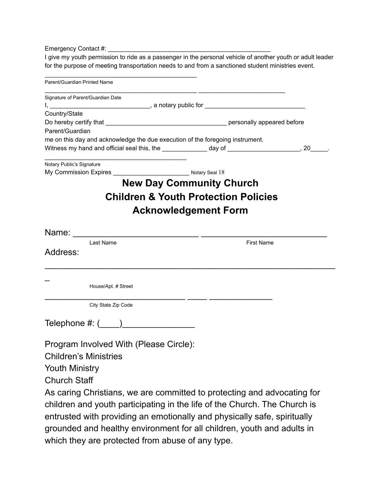Emergency Contact #:

I give my youth permission to ride as a passenger in the personal vehicle of another youth or adult leader for the purpose of meeting transportation needs to and from a sanctioned student ministries event.

| Parent/Guardian Printed Name                                                       |                                                 |
|------------------------------------------------------------------------------------|-------------------------------------------------|
| Signature of Parent/Guardian Date                                                  |                                                 |
|                                                                                    |                                                 |
| Country/State                                                                      |                                                 |
|                                                                                    |                                                 |
| Parent/Guardian                                                                    |                                                 |
| me on this day and acknowledge the due execution of the foregoing instrument.      |                                                 |
| Witness my hand and official seal this, the $\_\_\_\_\_$ day of $\_\_\_\_\_\_\_$ . |                                                 |
| Notary Public's Signature                                                          |                                                 |
|                                                                                    |                                                 |
| <b>New Day Community Church</b>                                                    |                                                 |
|                                                                                    | <b>Children &amp; Youth Protection Policies</b> |
|                                                                                    |                                                 |
| <b>Acknowledgement Form</b>                                                        |                                                 |
|                                                                                    |                                                 |
| Last Name                                                                          | <b>First Name</b>                               |
| Address:                                                                           |                                                 |
|                                                                                    |                                                 |
|                                                                                    |                                                 |
| House/Apt. # Street                                                                |                                                 |
| City State Zip Code                                                                |                                                 |
|                                                                                    |                                                 |
| Telephone #: (____)__________________                                              |                                                 |
|                                                                                    |                                                 |
| Program Involved With (Please Circle):                                             |                                                 |
| <b>Children's Ministries</b>                                                       |                                                 |
| <b>Youth Ministry</b>                                                              |                                                 |
|                                                                                    |                                                 |
| <b>Church Staff</b>                                                                |                                                 |
| As caring Christians, we are committed to protecting and advocating for            |                                                 |

children and youth participating in the life of the Church. The Church is entrusted with providing an emotionally and physically safe, spiritually grounded and healthy environment for all children, youth and adults in which they are protected from abuse of any type.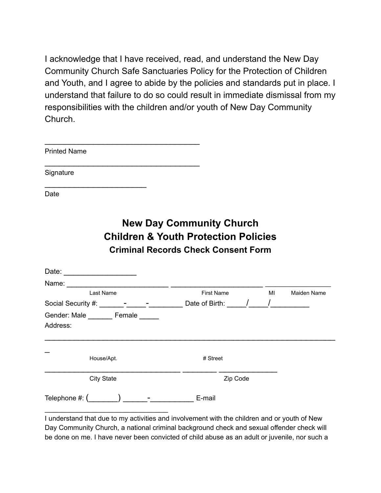I acknowledge that I have received, read, and understand the New Day Community Church Safe Sanctuaries Policy for the Protection of Children and Youth, and I agree to abide by the policies and standards put in place. I understand that failure to do so could result in immediate dismissal from my responsibilities with the children and/or youth of New Day Community Church.

| <b>Printed Name</b>                                                                                 |                                                                                                                                  |           |             |
|-----------------------------------------------------------------------------------------------------|----------------------------------------------------------------------------------------------------------------------------------|-----------|-------------|
| Signature                                                                                           |                                                                                                                                  |           |             |
| Date                                                                                                |                                                                                                                                  |           |             |
|                                                                                                     | <b>New Day Community Church</b><br><b>Children &amp; Youth Protection Policies</b><br><b>Criminal Records Check Consent Form</b> |           |             |
| Date:                                                                                               |                                                                                                                                  |           |             |
|                                                                                                     |                                                                                                                                  |           |             |
| <b>Last Name</b>                                                                                    | <b>First Name</b>                                                                                                                | <b>MI</b> | Maiden Name |
| Social Security #: ________-_________________________Date of Birth: ______/______/_________________ |                                                                                                                                  |           |             |
| Gender: Male _______ Female _____<br>Address:                                                       |                                                                                                                                  |           |             |
| House/Apt.                                                                                          | # Street                                                                                                                         |           |             |
| <b>City State</b>                                                                                   | Zip Code                                                                                                                         |           |             |
|                                                                                                     |                                                                                                                                  |           |             |

I understand that due to my activities and involvement with the children and or youth of New Day Community Church, a national criminal background check and sexual offender check will be done on me. I have never been convicted of child abuse as an adult or juvenile, nor such a

\_\_\_\_\_\_\_\_\_\_\_\_\_\_\_\_\_\_\_\_\_\_\_\_\_\_\_\_\_\_\_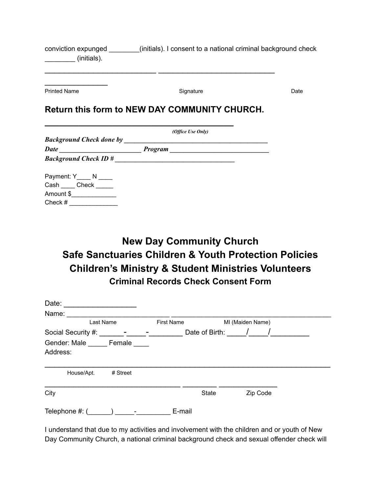| conviction expunged | (initials). I consent to a national criminal background check |
|---------------------|---------------------------------------------------------------|
| (initials).         |                                                               |

\_\_\_\_\_\_\_\_\_\_\_\_\_\_\_\_\_\_\_\_\_\_\_ \_\_\_\_\_\_\_\_\_\_\_\_\_\_\_\_\_\_\_\_\_\_\_\_

| <b>Printed Name</b>             | Signature                                                                       | Date |
|---------------------------------|---------------------------------------------------------------------------------|------|
|                                 | <b>Return this form to NEW DAY COMMUNITY CHURCH.</b>                            |      |
|                                 | (Office Use Only)                                                               |      |
| <b>Background Check done by</b> | the contract of the contract of the contract of the contract of the contract of |      |
|                                 |                                                                                 |      |
|                                 | $Background Check ID # \n$                                                      |      |
| Payment: $Y_$ N _____           |                                                                                 |      |
| Cash Check                      |                                                                                 |      |
| Amount \$                       |                                                                                 |      |
| Check #                         |                                                                                 |      |

# **New Day Community Church Safe Sanctuaries Children & Youth Protection Policies Children's Ministry & Student Ministries Volunteers Criminal Records Check Consent Form**

| Date:                           |          |                   |                |                  |  |
|---------------------------------|----------|-------------------|----------------|------------------|--|
| Name:                           |          |                   |                |                  |  |
| Last Name                       |          | <b>First Name</b> |                | MI (Maiden Name) |  |
| Social Security #:              |          |                   | Date of Birth: |                  |  |
| Gender: Male Female<br>Address: |          |                   |                |                  |  |
| House/Apt.                      | # Street |                   |                |                  |  |
| City                            |          |                   | <b>State</b>   | Zip Code         |  |
| Telephone #: (                  |          | E-mail            |                |                  |  |

I understand that due to my activities and involvement with the children and or youth of New Day Community Church, a national criminal background check and sexual offender check will